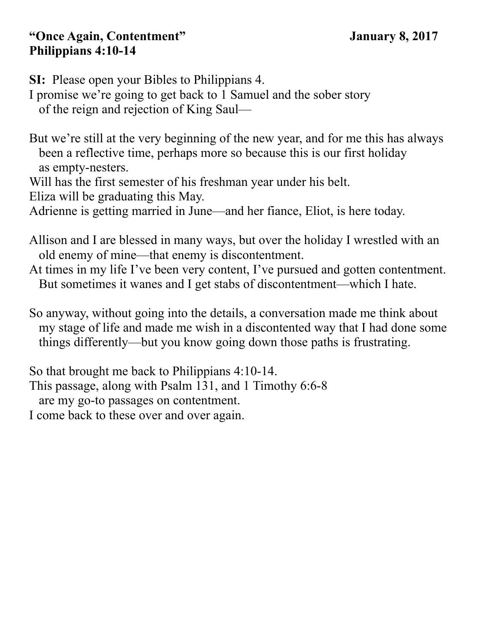#### **"Once Again, Contentment" January 8, 2017 Philippians 4:10-14**

**SI:** Please open your Bibles to Philippians 4.

I promise we're going to get back to 1 Samuel and the sober story of the reign and rejection of King Saul—

But we're still at the very beginning of the new year, and for me this has always been a reflective time, perhaps more so because this is our first holiday as empty-nesters.

Will has the first semester of his freshman year under his belt.

Eliza will be graduating this May.

Adrienne is getting married in June—and her fiance, Eliot, is here today.

Allison and I are blessed in many ways, but over the holiday I wrestled with an old enemy of mine—that enemy is discontentment.

At times in my life I've been very content, I've pursued and gotten contentment. But sometimes it wanes and I get stabs of discontentment—which I hate.

So anyway, without going into the details, a conversation made me think about my stage of life and made me wish in a discontented way that I had done some things differently—but you know going down those paths is frustrating.

So that brought me back to Philippians 4:10-14. This passage, along with Psalm 131, and 1 Timothy 6:6-8 are my go-to passages on contentment.

I come back to these over and over again.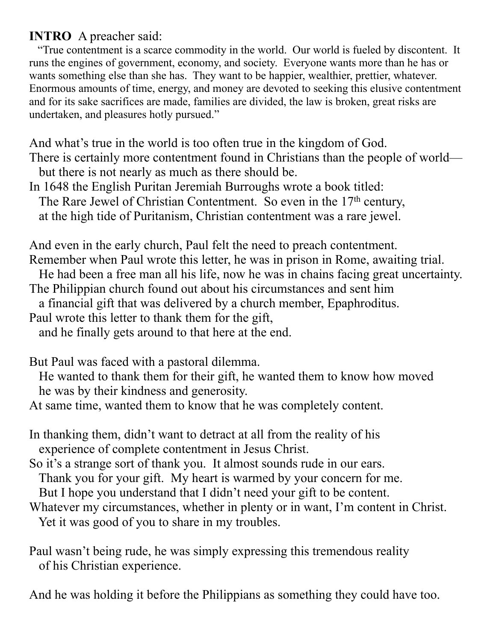## **INTRO** A preacher said:

 "True contentment is a scarce commodity in the world. Our world is fueled by discontent. It runs the engines of government, economy, and society. Everyone wants more than he has or wants something else than she has. They want to be happier, wealthier, prettier, whatever. Enormous amounts of time, energy, and money are devoted to seeking this elusive contentment and for its sake sacrifices are made, families are divided, the law is broken, great risks are undertaken, and pleasures hotly pursued."

And what's true in the world is too often true in the kingdom of God.

There is certainly more contentment found in Christians than the people of world but there is not nearly as much as there should be.

In 1648 the English Puritan Jeremiah Burroughs wrote a book titled:

The Rare Jewel of Christian Contentment. So even in the 17<sup>th</sup> century,

at the high tide of Puritanism, Christian contentment was a rare jewel.

And even in the early church, Paul felt the need to preach contentment. Remember when Paul wrote this letter, he was in prison in Rome, awaiting trial.

He had been a free man all his life, now he was in chains facing great uncertainty.

The Philippian church found out about his circumstances and sent him

a financial gift that was delivered by a church member, Epaphroditus.

Paul wrote this letter to thank them for the gift,

and he finally gets around to that here at the end.

But Paul was faced with a pastoral dilemma.

 He wanted to thank them for their gift, he wanted them to know how moved he was by their kindness and generosity.

At same time, wanted them to know that he was completely content.

- In thanking them, didn't want to detract at all from the reality of his experience of complete contentment in Jesus Christ.
- So it's a strange sort of thank you. It almost sounds rude in our ears.

Thank you for your gift. My heart is warmed by your concern for me.

But I hope you understand that I didn't need your gift to be content.

Whatever my circumstances, whether in plenty or in want, I'm content in Christ. Yet it was good of you to share in my troubles.

Paul wasn't being rude, he was simply expressing this tremendous reality of his Christian experience.

And he was holding it before the Philippians as something they could have too.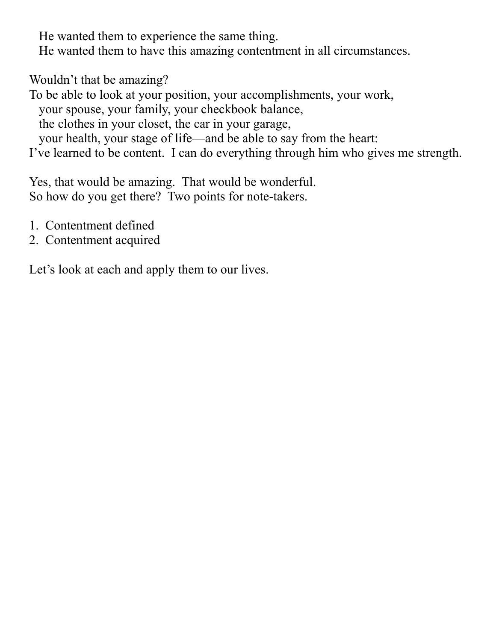He wanted them to experience the same thing.

He wanted them to have this amazing contentment in all circumstances.

Wouldn't that be amazing?

To be able to look at your position, your accomplishments, your work, your spouse, your family, your checkbook balance, the clothes in your closet, the car in your garage, your health, your stage of life—and be able to say from the heart: I've learned to be content. I can do everything through him who gives me strength.

Yes, that would be amazing. That would be wonderful. So how do you get there? Two points for note-takers.

- 1. Contentment defined
- 2. Contentment acquired

Let's look at each and apply them to our lives.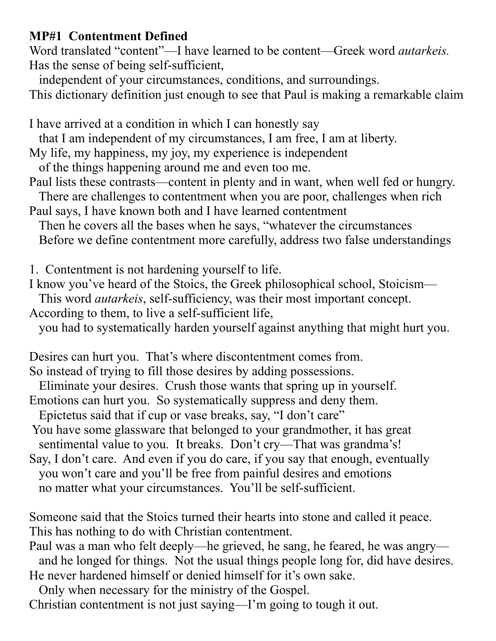## **MP#1 Contentment Defined**

Word translated "content"—I have learned to be content—Greek word *autarkeis.* Has the sense of being self-sufficient,

independent of your circumstances, conditions, and surroundings.

This dictionary definition just enough to see that Paul is making a remarkable claim

I have arrived at a condition in which I can honestly say

that I am independent of my circumstances, I am free, I am at liberty.

My life, my happiness, my joy, my experience is independent

of the things happening around me and even too me.

Paul lists these contrasts—content in plenty and in want, when well fed or hungry. There are challenges to contentment when you are poor, challenges when rich

Paul says, I have known both and I have learned contentment

 Then he covers all the bases when he says, "whatever the circumstances Before we define contentment more carefully, address two false understandings

1. Contentment is not hardening yourself to life.

I know you've heard of the Stoics, the Greek philosophical school, Stoicism—

This word *autarkeis*, self-sufficiency, was their most important concept.

According to them, to live a self-sufficient life,

you had to systematically harden yourself against anything that might hurt you.

Desires can hurt you. That's where discontentment comes from.

So instead of trying to fill those desires by adding possessions.

Eliminate your desires. Crush those wants that spring up in yourself.

Emotions can hurt you. So systematically suppress and deny them.

Epictetus said that if cup or vase breaks, say, "I don't care"

- You have some glassware that belonged to your grandmother, it has great sentimental value to you. It breaks. Don't cry—That was grandma's!
- Say, I don't care. And even if you do care, if you say that enough, eventually you won't care and you'll be free from painful desires and emotions no matter what your circumstances. You'll be self-sufficient.

Someone said that the Stoics turned their hearts into stone and called it peace. This has nothing to do with Christian contentment.

Paul was a man who felt deeply—he grieved, he sang, he feared, he was angry and he longed for things. Not the usual things people long for, did have desires. He never hardened himself or denied himself for it's own sake.

Only when necessary for the ministry of the Gospel.

Christian contentment is not just saying—I'm going to tough it out.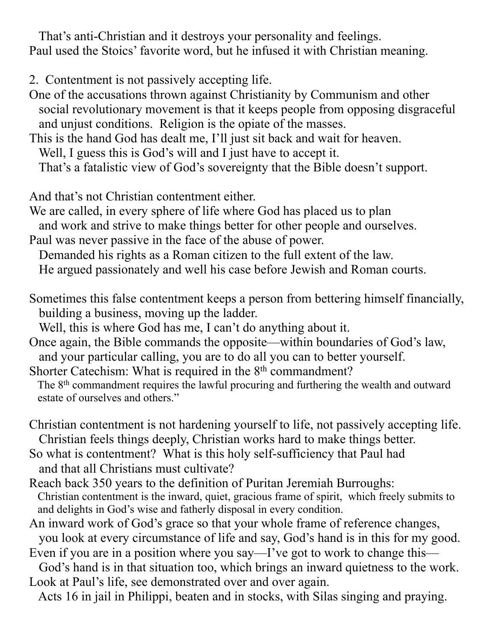That's anti-Christian and it destroys your personality and feelings. Paul used the Stoics' favorite word, but he infused it with Christian meaning.

- 2. Contentment is not passively accepting life.
- One of the accusations thrown against Christianity by Communism and other social revolutionary movement is that it keeps people from opposing disgraceful and unjust conditions. Religion is the opiate of the masses.
- This is the hand God has dealt me, I'll just sit back and wait for heaven. Well, I guess this is God's will and I just have to accept it. That's a fatalistic view of God's sovereignty that the Bible doesn't support.

And that's not Christian contentment either.

We are called, in every sphere of life where God has placed us to plan and work and strive to make things better for other people and ourselves. Paul was never passive in the face of the abuse of power.

 Demanded his rights as a Roman citizen to the full extent of the law. He argued passionately and well his case before Jewish and Roman courts.

Sometimes this false contentment keeps a person from bettering himself financially, building a business, moving up the ladder.

Well, this is where God has me, I can't do anything about it.

Once again, the Bible commands the opposite—within boundaries of God's law, and your particular calling, you are to do all you can to better yourself.

Shorter Catechism: What is required in the 8<sup>th</sup> commandment? The 8<sup>th</sup> commandment requires the lawful procuring and furthering the wealth and outward estate of ourselves and others."

- Christian contentment is not hardening yourself to life, not passively accepting life. Christian feels things deeply, Christian works hard to make things better.
- So what is contentment? What is this holy self-sufficiency that Paul had and that all Christians must cultivate?
- Reach back 350 years to the definition of Puritan Jeremiah Burroughs: Christian contentment is the inward, quiet, gracious frame of spirit, which freely submits to and delights in God's wise and fatherly disposal in every condition.
- An inward work of God's grace so that your whole frame of reference changes, you look at every circumstance of life and say, God's hand is in this for my good.

Even if you are in a position where you say—I've got to work to change this—

God's hand is in that situation too, which brings an inward quietness to the work. Look at Paul's life, see demonstrated over and over again.

Acts 16 in jail in Philippi, beaten and in stocks, with Silas singing and praying.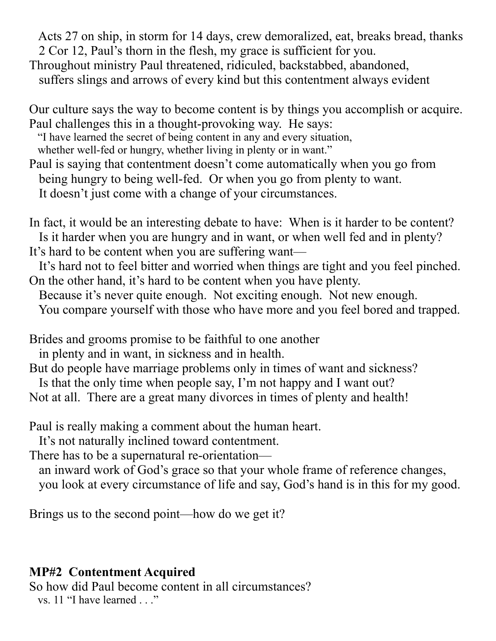Acts 27 on ship, in storm for 14 days, crew demoralized, eat, breaks bread, thanks 2 Cor 12, Paul's thorn in the flesh, my grace is sufficient for you.

Throughout ministry Paul threatened, ridiculed, backstabbed, abandoned,

suffers slings and arrows of every kind but this contentment always evident

Our culture says the way to become content is by things you accomplish or acquire. Paul challenges this in a thought-provoking way. He says:

"I have learned the secret of being content in any and every situation,

whether well-fed or hungry, whether living in plenty or in want."

Paul is saying that contentment doesn't come automatically when you go from being hungry to being well-fed. Or when you go from plenty to want. It doesn't just come with a change of your circumstances.

In fact, it would be an interesting debate to have: When is it harder to be content? Is it harder when you are hungry and in want, or when well fed and in plenty? It's hard to be content when you are suffering want—

 It's hard not to feel bitter and worried when things are tight and you feel pinched. On the other hand, it's hard to be content when you have plenty.

Because it's never quite enough. Not exciting enough. Not new enough.

You compare yourself with those who have more and you feel bored and trapped.

Brides and grooms promise to be faithful to one another

in plenty and in want, in sickness and in health.

But do people have marriage problems only in times of want and sickness?

 Is that the only time when people say, I'm not happy and I want out? Not at all. There are a great many divorces in times of plenty and health!

Paul is really making a comment about the human heart.

It's not naturally inclined toward contentment.

There has to be a supernatural re-orientation—

 an inward work of God's grace so that your whole frame of reference changes, you look at every circumstance of life and say, God's hand is in this for my good.

Brings us to the second point—how do we get it?

# **MP#2 Contentment Acquired**

So how did Paul become content in all circumstances?

vs. 11 "I have learned . . ."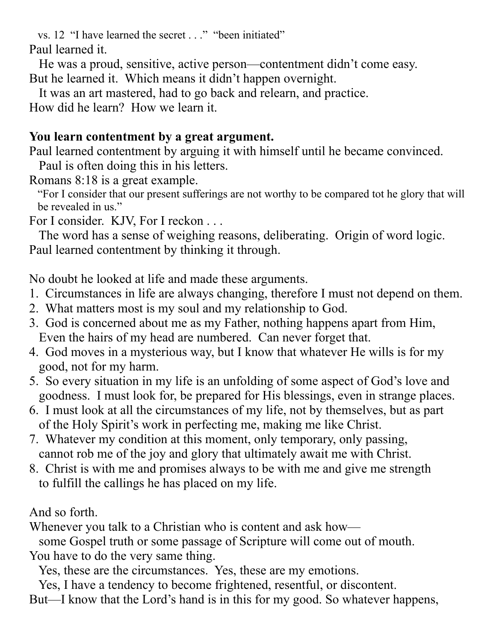vs. 12 "I have learned the secret . . ." "been initiated" Paul learned it.

 He was a proud, sensitive, active person—contentment didn't come easy. But he learned it. Which means it didn't happen overnight.

It was an art mastered, had to go back and relearn, and practice.

How did he learn? How we learn it.

## **You learn contentment by a great argument.**

Paul learned contentment by arguing it with himself until he became convinced. Paul is often doing this in his letters.

Romans 8:18 is a great example.

 "For I consider that our present sufferings are not worthy to be compared tot he glory that will be revealed in us."

For I consider. KJV, For I reckon . . .

 The word has a sense of weighing reasons, deliberating. Origin of word logic. Paul learned contentment by thinking it through.

No doubt he looked at life and made these arguments.

- 1. Circumstances in life are always changing, therefore I must not depend on them.
- 2. What matters most is my soul and my relationship to God.
- 3. God is concerned about me as my Father, nothing happens apart from Him, Even the hairs of my head are numbered. Can never forget that.
- 4. God moves in a mysterious way, but I know that whatever He wills is for my good, not for my harm.
- 5. So every situation in my life is an unfolding of some aspect of God's love and goodness. I must look for, be prepared for His blessings, even in strange places.
- 6. I must look at all the circumstances of my life, not by themselves, but as part of the Holy Spirit's work in perfecting me, making me like Christ.
- 7. Whatever my condition at this moment, only temporary, only passing, cannot rob me of the joy and glory that ultimately await me with Christ.
- 8. Christ is with me and promises always to be with me and give me strength to fulfill the callings he has placed on my life.

And so forth.

Whenever you talk to a Christian who is content and ask how—

some Gospel truth or some passage of Scripture will come out of mouth.

You have to do the very same thing.

Yes, these are the circumstances. Yes, these are my emotions.

 Yes, I have a tendency to become frightened, resentful, or discontent. But—I know that the Lord's hand is in this for my good. So whatever happens,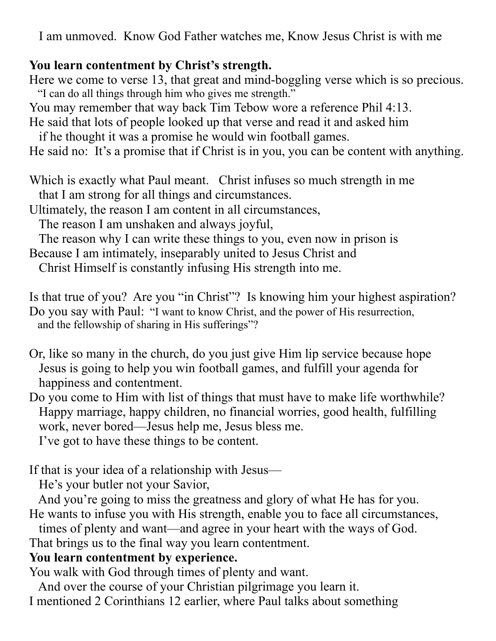I am unmoved. Know God Father watches me, Know Jesus Christ is with me

#### **You learn contentment by Christ's strength.**

Here we come to verse 13, that great and mind-boggling verse which is so precious. "I can do all things through him who gives me strength."

You may remember that way back Tim Tebow wore a reference Phil 4:13.

He said that lots of people looked up that verse and read it and asked him if he thought it was a promise he would win football games.

He said no: It's a promise that if Christ is in you, you can be content with anything.

Which is exactly what Paul meant. Christ infuses so much strength in me that I am strong for all things and circumstances.

Ultimately, the reason I am content in all circumstances,

The reason I am unshaken and always joyful,

The reason why I can write these things to you, even now in prison is

Because I am intimately, inseparably united to Jesus Christ and

Christ Himself is constantly infusing His strength into me.

Is that true of you? Are you "in Christ"? Is knowing him your highest aspiration? Do you say with Paul: "I want to know Christ, and the power of His resurrection, and the fellowship of sharing in His sufferings"?

- Or, like so many in the church, do you just give Him lip service because hope Jesus is going to help you win football games, and fulfill your agenda for happiness and contentment.
- Do you come to Him with list of things that must have to make life worthwhile? Happy marriage, happy children, no financial worries, good health, fulfilling work, never bored—Jesus help me, Jesus bless me.

I've got to have these things to be content.

If that is your idea of a relationship with Jesus—

He's your butler not your Savior,

 And you're going to miss the greatness and glory of what He has for you. He wants to infuse you with His strength, enable you to face all circumstances,

times of plenty and want—and agree in your heart with the ways of God.

That brings us to the final way you learn contentment.

# **You learn contentment by experience.**

You walk with God through times of plenty and want.

 And over the course of your Christian pilgrimage you learn it. I mentioned 2 Corinthians 12 earlier, where Paul talks about something